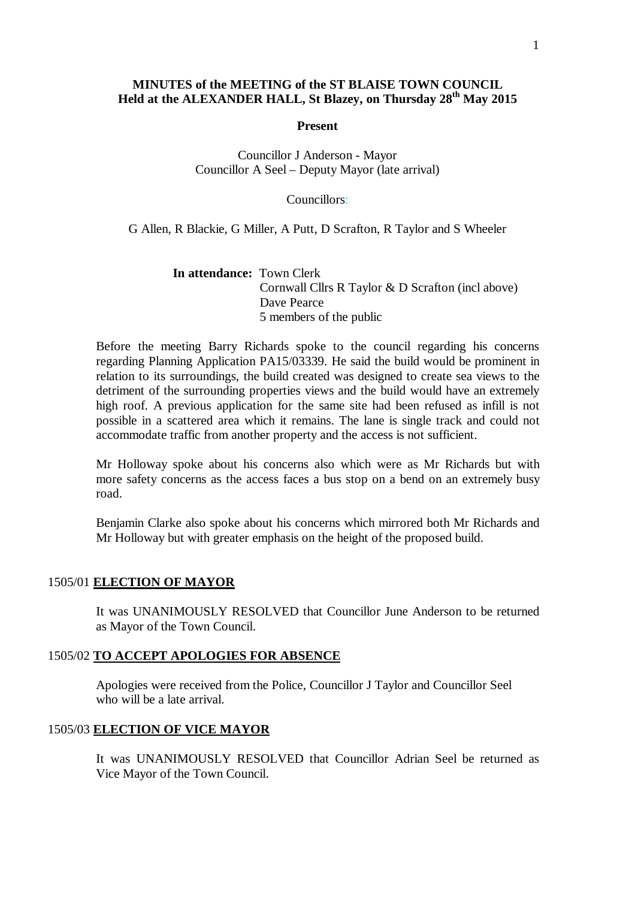## **MINUTES of the MEETING of the ST BLAISE TOWN COUNCIL Held at the ALEXANDER HALL, St Blazey, on Thursday 28 th May 2015**

#### **Present**

## Councillor J Anderson - Mayor Councillor A Seel – Deputy Mayor (late arrival)

#### Councillors:

G Allen, R Blackie, G Miller, A Putt, D Scrafton, R Taylor and S Wheeler

**In attendance:** Town Clerk Cornwall Cllrs R Taylor & D Scrafton (incl above) Dave Pearce 5 members of the public

Before the meeting Barry Richards spoke to the council regarding his concerns regarding Planning Application PA15/03339. He said the build would be prominent in relation to its surroundings, the build created was designed to create sea views to the detriment of the surrounding properties views and the build would have an extremely high roof. A previous application for the same site had been refused as infill is not possible in a scattered area which it remains. The lane is single track and could not accommodate traffic from another property and the access is not sufficient.

Mr Holloway spoke about his concerns also which were as Mr Richards but with more safety concerns as the access faces a bus stop on a bend on an extremely busy road.

Benjamin Clarke also spoke about his concerns which mirrored both Mr Richards and Mr Holloway but with greater emphasis on the height of the proposed build.

## 1505/01 **ELECTION OF MAYOR**

It was UNANIMOUSLY RESOLVED that Councillor June Anderson to be returned as Mayor of the Town Council.

#### 1505/02 **TO ACCEPT APOLOGIES FOR ABSENCE**

Apologies were received from the Police, Councillor J Taylor and Councillor Seel who will be a late arrival.

## 1505/03 **ELECTION OF VICE MAYOR**

It was UNANIMOUSLY RESOLVED that Councillor Adrian Seel be returned as Vice Mayor of the Town Council.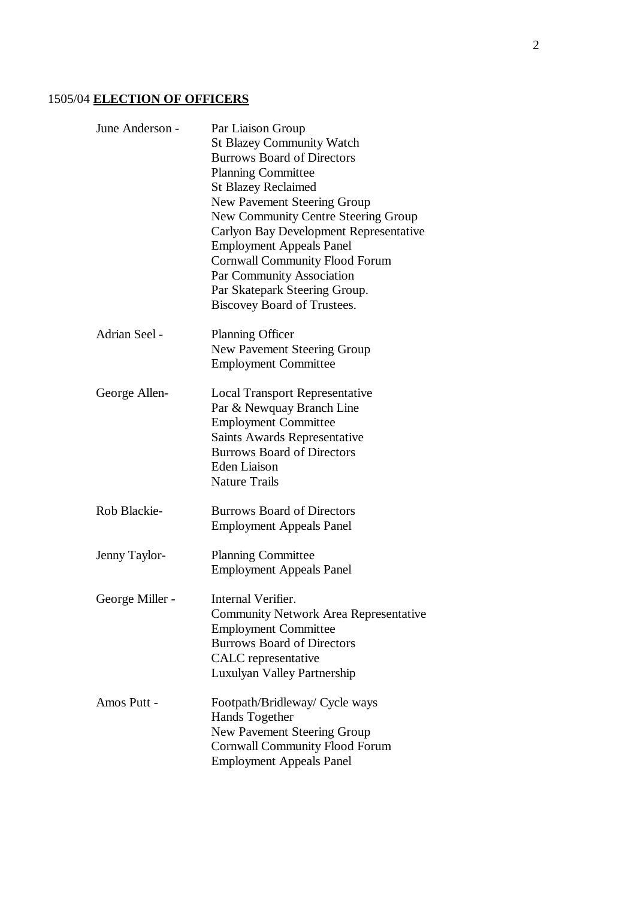# 1505/04 **ELECTION OF OFFICERS**

| June Anderson - | Par Liaison Group<br><b>St Blazey Community Watch</b><br><b>Burrows Board of Directors</b><br><b>Planning Committee</b><br><b>St Blazey Reclaimed</b><br>New Pavement Steering Group<br>New Community Centre Steering Group<br>Carlyon Bay Development Representative<br><b>Employment Appeals Panel</b><br><b>Cornwall Community Flood Forum</b><br>Par Community Association<br>Par Skatepark Steering Group.<br>Biscovey Board of Trustees. |
|-----------------|------------------------------------------------------------------------------------------------------------------------------------------------------------------------------------------------------------------------------------------------------------------------------------------------------------------------------------------------------------------------------------------------------------------------------------------------|
| Adrian Seel -   | <b>Planning Officer</b><br>New Pavement Steering Group<br><b>Employment Committee</b>                                                                                                                                                                                                                                                                                                                                                          |
| George Allen-   | <b>Local Transport Representative</b><br>Par & Newquay Branch Line<br><b>Employment Committee</b><br><b>Saints Awards Representative</b><br><b>Burrows Board of Directors</b><br><b>Eden Liaison</b><br><b>Nature Trails</b>                                                                                                                                                                                                                   |
| Rob Blackie-    | <b>Burrows Board of Directors</b><br><b>Employment Appeals Panel</b>                                                                                                                                                                                                                                                                                                                                                                           |
| Jenny Taylor-   | <b>Planning Committee</b><br><b>Employment Appeals Panel</b>                                                                                                                                                                                                                                                                                                                                                                                   |
| George Miller - | Internal Verifier.<br><b>Community Network Area Representative</b><br><b>Employment Committee</b><br><b>Burrows Board of Directors</b><br>CALC representative<br>Luxulyan Valley Partnership                                                                                                                                                                                                                                                   |
| Amos Putt -     | Footpath/Bridleway/ Cycle ways<br>Hands Together<br>New Pavement Steering Group<br><b>Cornwall Community Flood Forum</b><br><b>Employment Appeals Panel</b>                                                                                                                                                                                                                                                                                    |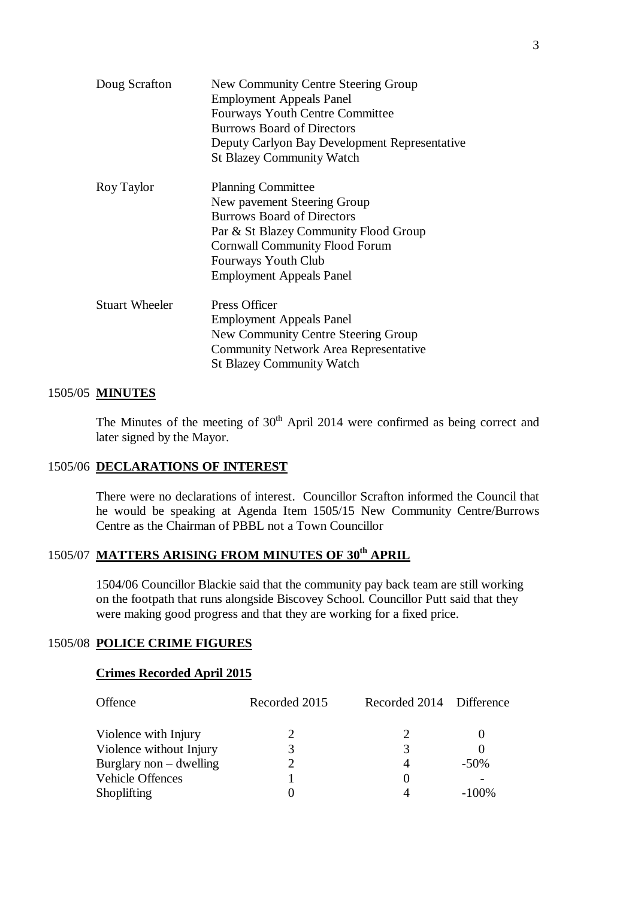| Doug Scrafton         | New Community Centre Steering Group<br><b>Employment Appeals Panel</b><br><b>Fourways Youth Centre Committee</b><br><b>Burrows Board of Directors</b><br>Deputy Carlyon Bay Development Representative |  |
|-----------------------|--------------------------------------------------------------------------------------------------------------------------------------------------------------------------------------------------------|--|
|                       | <b>St Blazey Community Watch</b>                                                                                                                                                                       |  |
| Roy Taylor            | <b>Planning Committee</b>                                                                                                                                                                              |  |
|                       | New pavement Steering Group                                                                                                                                                                            |  |
|                       | <b>Burrows Board of Directors</b>                                                                                                                                                                      |  |
|                       | Par & St Blazey Community Flood Group                                                                                                                                                                  |  |
|                       | <b>Cornwall Community Flood Forum</b>                                                                                                                                                                  |  |
|                       | <b>Fourways Youth Club</b>                                                                                                                                                                             |  |
|                       | <b>Employment Appeals Panel</b>                                                                                                                                                                        |  |
| <b>Stuart Wheeler</b> | Press Officer                                                                                                                                                                                          |  |
|                       | <b>Employment Appeals Panel</b>                                                                                                                                                                        |  |
|                       | New Community Centre Steering Group                                                                                                                                                                    |  |
|                       | <b>Community Network Area Representative</b>                                                                                                                                                           |  |
|                       | <b>St Blazey Community Watch</b>                                                                                                                                                                       |  |

## 1505/05 **MINUTES**

The Minutes of the meeting of  $30<sup>th</sup>$  April 2014 were confirmed as being correct and later signed by the Mayor.

## 1505/06 **DECLARATIONS OF INTEREST**

There were no declarations of interest. Councillor Scrafton informed the Council that he would be speaking at Agenda Item 1505/15 New Community Centre/Burrows Centre as the Chairman of PBBL not a Town Councillor

# 1505/07 **MATTERS ARISING FROM MINUTES OF 30th APRIL**

1504/06 Councillor Blackie said that the community pay back team are still working on the footpath that runs alongside Biscovey School. Councillor Putt said that they were making good progress and that they are working for a fixed price.

## 1505/08 **POLICE CRIME FIGURES**

## **Crimes Recorded April 2015**

| Offence                   | Recorded 2015 | Recorded 2014 Difference |          |
|---------------------------|---------------|--------------------------|----------|
| Violence with Injury      |               |                          |          |
| Violence without Injury   |               | 3                        |          |
| Burglary non $-$ dwelling |               | 4                        | $-50\%$  |
| Vehicle Offences          |               | $\theta$                 |          |
| <b>Shoplifting</b>        |               |                          | $-100\%$ |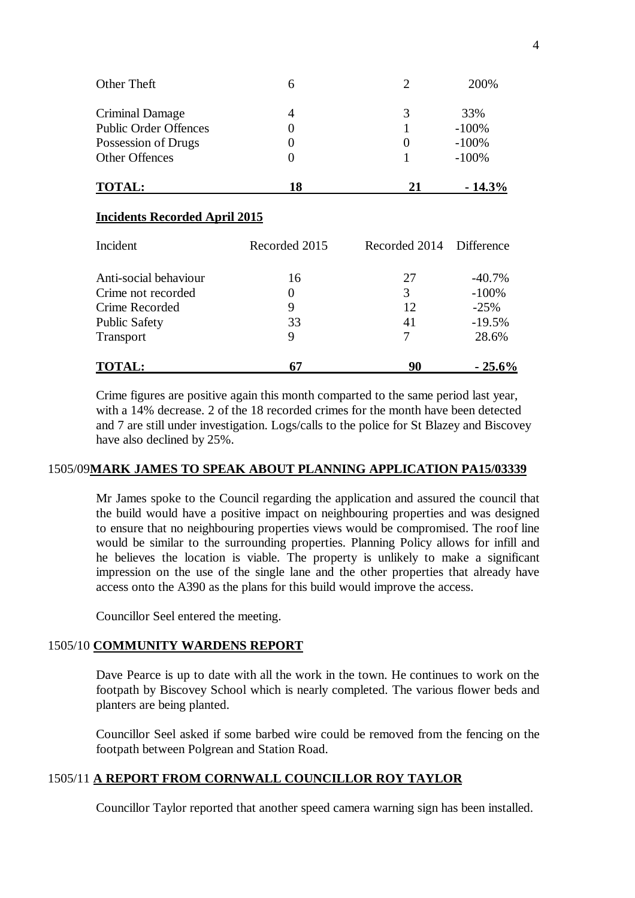| <b>Incidents Recorded April 2015</b><br>Inoidal | $D$ oorded $2015$ | $D$ coorded $2014$ | Difference |
|-------------------------------------------------|-------------------|--------------------|------------|
| <b>TOTAL:</b>                                   | 18                | 21                 | $-14.3\%$  |
| <b>Other Offences</b>                           |                   |                    | $-100%$    |
| Possession of Drugs                             |                   | $\theta$           | $-100%$    |
| <b>Public Order Offences</b>                    |                   |                    | $-100%$    |
| Criminal Damage                                 | 4                 | 3                  | 33%        |
| Other Theft                                     | 6                 | 2                  | 200%       |

| <b>TOTAL:</b>         | -67           | 90              | $-25.6%$     |
|-----------------------|---------------|-----------------|--------------|
| Transport             | 9             | 7               | 28.6%        |
| <b>Public Safety</b>  | 33            | 41              | $-19.5%$     |
| Crime Recorded        | 9             | 12              | $-25%$       |
| Crime not recorded    | $\theta$      | 3               | $-100%$      |
| Anti-social behaviour | 16            | 27              | $-40.7%$     |
| mergent               | Recorded 2015 | Recorded $2014$ | - Difference |

Crime figures are positive again this month comparted to the same period last year, with a 14% decrease. 2 of the 18 recorded crimes for the month have been detected and 7 are still under investigation. Logs/calls to the police for St Blazey and Biscovey have also declined by 25%.

## 1505/09**MARK JAMES TO SPEAK ABOUT PLANNING APPLICATION PA15/03339**

Mr James spoke to the Council regarding the application and assured the council that the build would have a positive impact on neighbouring properties and was designed to ensure that no neighbouring properties views would be compromised. The roof line would be similar to the surrounding properties. Planning Policy allows for infill and he believes the location is viable. The property is unlikely to make a significant impression on the use of the single lane and the other properties that already have access onto the A390 as the plans for this build would improve the access.

Councillor Seel entered the meeting.

## 1505/10 **COMMUNITY WARDENS REPORT**

Dave Pearce is up to date with all the work in the town. He continues to work on the footpath by Biscovey School which is nearly completed. The various flower beds and planters are being planted.

Councillor Seel asked if some barbed wire could be removed from the fencing on the footpath between Polgrean and Station Road.

## 1505/11 **A REPORT FROM CORNWALL COUNCILLOR ROY TAYLOR**

Councillor Taylor reported that another speed camera warning sign has been installed.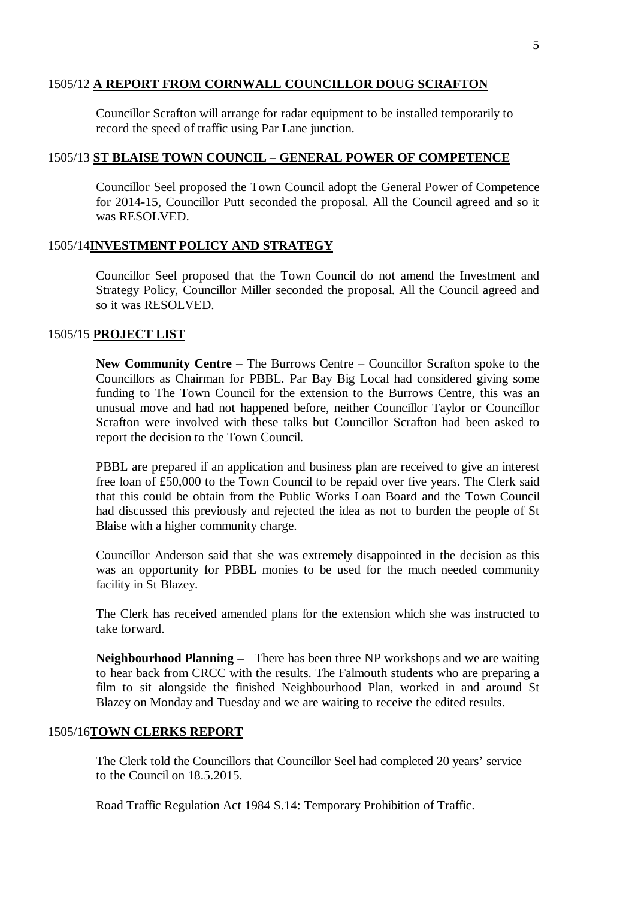## 1505/12 **A REPORT FROM CORNWALL COUNCILLOR DOUG SCRAFTON**

Councillor Scrafton will arrange for radar equipment to be installed temporarily to record the speed of traffic using Par Lane junction.

## 1505/13 **ST BLAISE TOWN COUNCIL – GENERAL POWER OF COMPETENCE**

Councillor Seel proposed the Town Council adopt the General Power of Competence for 2014-15, Councillor Putt seconded the proposal. All the Council agreed and so it was RESOLVED.

## 1505/14**INVESTMENT POLICY AND STRATEGY**

Councillor Seel proposed that the Town Council do not amend the Investment and Strategy Policy, Councillor Miller seconded the proposal. All the Council agreed and so it was RESOLVED.

## 1505/15 **PROJECT LIST**

**New Community Centre –** The Burrows Centre – Councillor Scrafton spoke to the Councillors as Chairman for PBBL. Par Bay Big Local had considered giving some funding to The Town Council for the extension to the Burrows Centre, this was an unusual move and had not happened before, neither Councillor Taylor or Councillor Scrafton were involved with these talks but Councillor Scrafton had been asked to report the decision to the Town Council.

PBBL are prepared if an application and business plan are received to give an interest free loan of £50,000 to the Town Council to be repaid over five years. The Clerk said that this could be obtain from the Public Works Loan Board and the Town Council had discussed this previously and rejected the idea as not to burden the people of St Blaise with a higher community charge.

Councillor Anderson said that she was extremely disappointed in the decision as this was an opportunity for PBBL monies to be used for the much needed community facility in St Blazey.

The Clerk has received amended plans for the extension which she was instructed to take forward.

**Neighbourhood Planning –** There has been three NP workshops and we are waiting to hear back from CRCC with the results. The Falmouth students who are preparing a film to sit alongside the finished Neighbourhood Plan, worked in and around St Blazey on Monday and Tuesday and we are waiting to receive the edited results.

## 1505/16**TOWN CLERKS REPORT**

The Clerk told the Councillors that Councillor Seel had completed 20 years' service to the Council on 18.5.2015.

Road Traffic Regulation Act 1984 S.14: Temporary Prohibition of Traffic.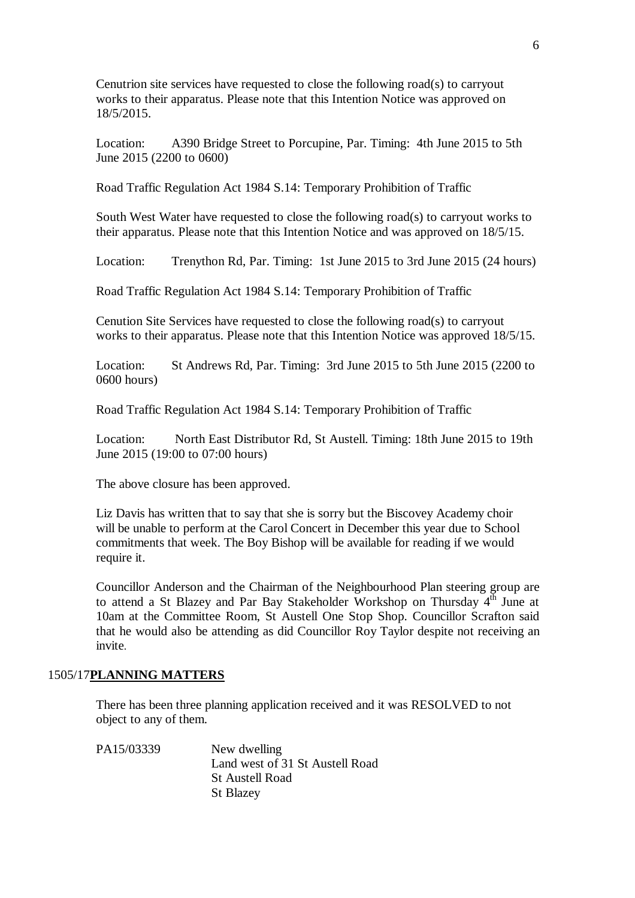Cenutrion site services have requested to close the following road(s) to carryout works to their apparatus. Please note that this Intention Notice was approved on 18/5/2015.

Location: A390 Bridge Street to Porcupine, Par. Timing: 4th June 2015 to 5th June 2015 (2200 to 0600)

Road Traffic Regulation Act 1984 S.14: Temporary Prohibition of Traffic

South West Water have requested to close the following road(s) to carryout works to their apparatus. Please note that this Intention Notice and was approved on 18/5/15.

Location: Trenython Rd, Par. Timing: 1st June 2015 to 3rd June 2015 (24 hours)

Road Traffic Regulation Act 1984 S.14: Temporary Prohibition of Traffic

Cenution Site Services have requested to close the following road(s) to carryout works to their apparatus. Please note that this Intention Notice was approved 18/5/15.

Location: St Andrews Rd, Par. Timing: 3rd June 2015 to 5th June 2015 (2200 to 0600 hours)

Road Traffic Regulation Act 1984 S.14: Temporary Prohibition of Traffic

Location: North East Distributor Rd, St Austell. Timing: 18th June 2015 to 19th June 2015 (19:00 to 07:00 hours)

The above closure has been approved.

Liz Davis has written that to say that she is sorry but the Biscovey Academy choir will be unable to perform at the Carol Concert in December this year due to School commitments that week. The Boy Bishop will be available for reading if we would require it.

Councillor Anderson and the Chairman of the Neighbourhood Plan steering group are to attend a St Blazey and Par Bay Stakeholder Workshop on Thursday  $4<sup>th</sup>$  June at 10am at the Committee Room, St Austell One Stop Shop. Councillor Scrafton said that he would also be attending as did Councillor Roy Taylor despite not receiving an invite.

#### 1505/17**PLANNING MATTERS**

There has been three planning application received and it was RESOLVED to not object to any of them.

PA15/03339 New dwelling Land west of 31 St Austell Road St Austell Road St Blazey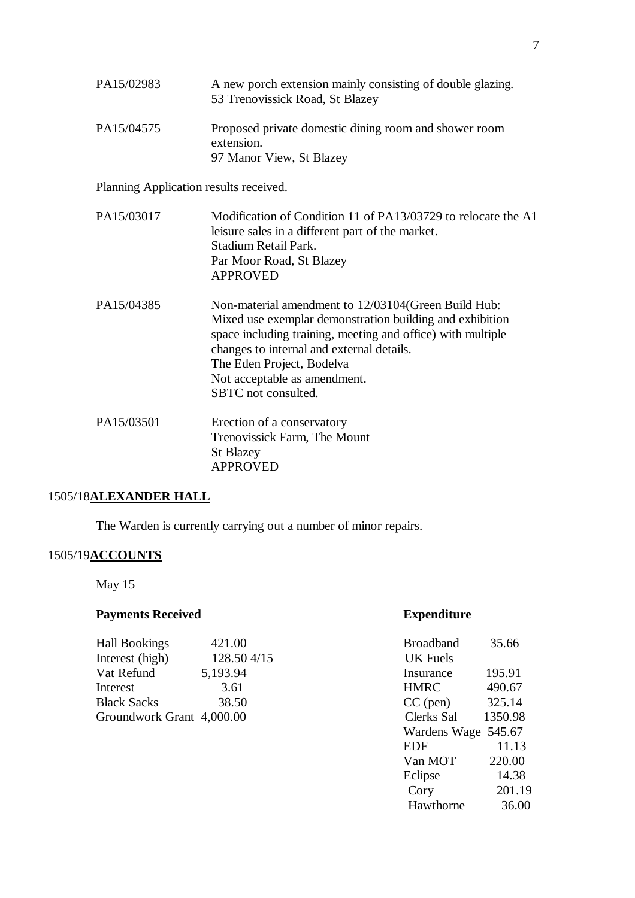| PA15/02983 | A new porch extension mainly consisting of double glazing.<br>53 Trenovissick Road, St Blazey |
|------------|-----------------------------------------------------------------------------------------------|
| PA15/04575 | Proposed private domestic dining room and shower room<br>extension.                           |
|            | 97 Manor View, St Blazey                                                                      |

Planning Application results received.

| PA15/03017 | Modification of Condition 11 of PA13/03729 to relocate the A1<br>leisure sales in a different part of the market.<br>Stadium Retail Park.<br>Par Moor Road, St Blazey<br><b>APPROVED</b>                                                                                                                         |
|------------|------------------------------------------------------------------------------------------------------------------------------------------------------------------------------------------------------------------------------------------------------------------------------------------------------------------|
| PA15/04385 | Non-material amendment to 12/03104 (Green Build Hub:<br>Mixed use exemplar demonstration building and exhibition<br>space including training, meeting and office) with multiple<br>changes to internal and external details.<br>The Eden Project, Bodelva<br>Not acceptable as amendment.<br>SBTC not consulted. |
| PA15/03501 | Erection of a conservatory<br>Trenovissick Farm, The Mount<br><b>St Blazey</b><br><b>APPROVED</b>                                                                                                                                                                                                                |

## 1505/18**ALEXANDER HALL**

The Warden is currently carrying out a number of minor repairs.

## 1505/19**ACCOUNTS**

May 15

## **Payments Received <b>Expenditure**

| <b>Hall Bookings</b>      | 421.00     | <b>Broadband</b> | 35.66   |
|---------------------------|------------|------------------|---------|
| Interest (high)           | 128.504/15 | UK Fuels         |         |
| Vat Refund                | 5,193.94   | Insurance        | 195.91  |
| Interest                  | 3.61       | <b>HMRC</b>      | 490.67  |
| <b>Black Sacks</b>        | 38.50      | $CC$ (pen)       | 325.14  |
| Groundwork Grant 4,000.00 |            | Clerks Sal       | 1350.98 |
|                           |            |                  |         |

| <b>Broadband</b>    | 35.66   |
|---------------------|---------|
| <b>UK Fuels</b>     |         |
| Insurance           | 195.91  |
| <b>HMRC</b>         | 490.67  |
| $CC$ (pen)          | 325.14  |
| Clerks Sal          | 1350.98 |
| Wardens Wage 545.67 |         |
| <b>EDF</b>          | 11.13   |
| Van MOT             | 220.00  |
| Eclipse             | 14.38   |
| Cory                | 201.19  |
| Hawthorne           | 36.00   |